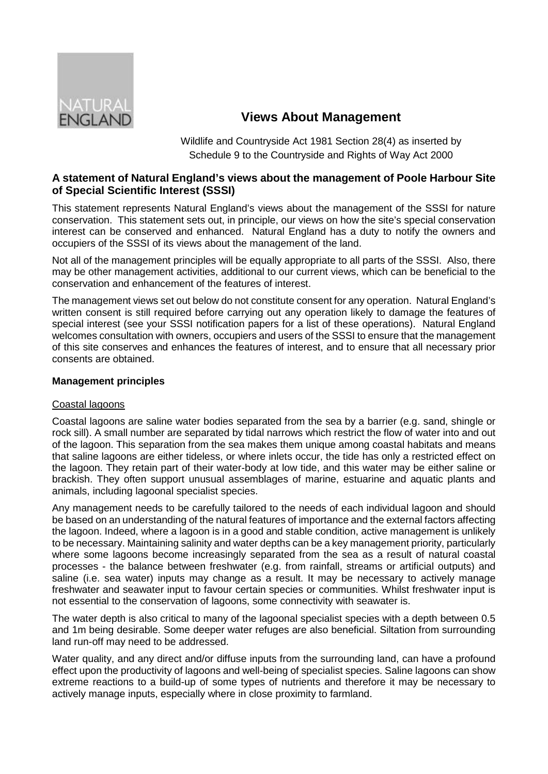

# **Views About Management**

Wildlife and Countryside Act 1981 Section 28(4) as inserted by Schedule 9 to the Countryside and Rights of Way Act 2000

# **A statement of Natural England's views about the management of Poole Harbour Site of Special Scientific Interest (SSSI)**

This statement represents Natural England's views about the management of the SSSI for nature conservation. This statement sets out, in principle, our views on how the site's special conservation interest can be conserved and enhanced. Natural England has a duty to notify the owners and occupiers of the SSSI of its views about the management of the land.

Not all of the management principles will be equally appropriate to all parts of the SSSI. Also, there may be other management activities, additional to our current views, which can be beneficial to the conservation and enhancement of the features of interest.

The management views set out below do not constitute consent for any operation. Natural England's written consent is still required before carrying out any operation likely to damage the features of special interest (see your SSSI notification papers for a list of these operations). Natural England welcomes consultation with owners, occupiers and users of the SSSI to ensure that the management of this site conserves and enhances the features of interest, and to ensure that all necessary prior consents are obtained.

# **Management principles**

## Coastal lagoons

Coastal lagoons are saline water bodies separated from the sea by a barrier (e.g. sand, shingle or rock sill). A small number are separated by tidal narrows which restrict the flow of water into and out of the lagoon. This separation from the sea makes them unique among coastal habitats and means that saline lagoons are either tideless, or where inlets occur, the tide has only a restricted effect on the lagoon. They retain part of their water-body at low tide, and this water may be either saline or brackish. They often support unusual assemblages of marine, estuarine and aquatic plants and animals, including lagoonal specialist species.

Any management needs to be carefully tailored to the needs of each individual lagoon and should be based on an understanding of the natural features of importance and the external factors affecting the lagoon. Indeed, where a lagoon is in a good and stable condition, active management is unlikely to be necessary. Maintaining salinity and water depths can be a key management priority, particularly where some lagoons become increasingly separated from the sea as a result of natural coastal processes - the balance between freshwater (e.g. from rainfall, streams or artificial outputs) and saline (i.e. sea water) inputs may change as a result. It may be necessary to actively manage freshwater and seawater input to favour certain species or communities. Whilst freshwater input is not essential to the conservation of lagoons, some connectivity with seawater is.

The water depth is also critical to many of the lagoonal specialist species with a depth between 0.5 and 1m being desirable. Some deeper water refuges are also beneficial. Siltation from surrounding land run-off may need to be addressed.

Water quality, and any direct and/or diffuse inputs from the surrounding land, can have a profound effect upon the productivity of lagoons and well-being of specialist species. Saline lagoons can show extreme reactions to a build-up of some types of nutrients and therefore it may be necessary to actively manage inputs, especially where in close proximity to farmland.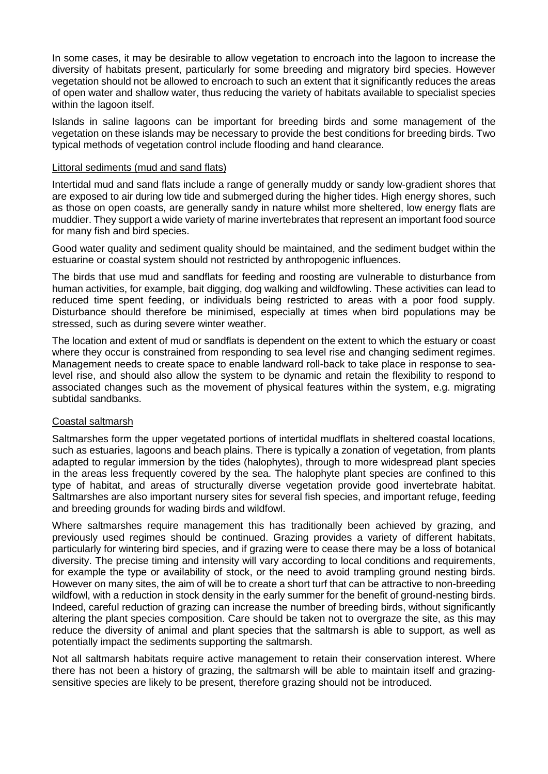In some cases, it may be desirable to allow vegetation to encroach into the lagoon to increase the diversity of habitats present, particularly for some breeding and migratory bird species. However vegetation should not be allowed to encroach to such an extent that it significantly reduces the areas of open water and shallow water, thus reducing the variety of habitats available to specialist species within the lagoon itself.

Islands in saline lagoons can be important for breeding birds and some management of the vegetation on these islands may be necessary to provide the best conditions for breeding birds. Two typical methods of vegetation control include flooding and hand clearance.

#### Littoral sediments (mud and sand flats)

Intertidal mud and sand flats include a range of generally muddy or sandy low-gradient shores that are exposed to air during low tide and submerged during the higher tides. High energy shores, such as those on open coasts, are generally sandy in nature whilst more sheltered, low energy flats are muddier. They support a wide variety of marine invertebrates that represent an important food source for many fish and bird species.

Good water quality and sediment quality should be maintained, and the sediment budget within the estuarine or coastal system should not restricted by anthropogenic influences.

The birds that use mud and sandflats for feeding and roosting are vulnerable to disturbance from human activities, for example, bait digging, dog walking and wildfowling. These activities can lead to reduced time spent feeding, or individuals being restricted to areas with a poor food supply. Disturbance should therefore be minimised, especially at times when bird populations may be stressed, such as during severe winter weather.

The location and extent of mud or sandflats is dependent on the extent to which the estuary or coast where they occur is constrained from responding to sea level rise and changing sediment regimes. Management needs to create space to enable landward roll-back to take place in response to sealevel rise, and should also allow the system to be dynamic and retain the flexibility to respond to associated changes such as the movement of physical features within the system, e.g. migrating subtidal sandbanks.

## Coastal saltmarsh

Saltmarshes form the upper vegetated portions of intertidal mudflats in sheltered coastal locations, such as estuaries, lagoons and beach plains. There is typically a zonation of vegetation, from plants adapted to regular immersion by the tides (halophytes), through to more widespread plant species in the areas less frequently covered by the sea. The halophyte plant species are confined to this type of habitat, and areas of structurally diverse vegetation provide good invertebrate habitat. Saltmarshes are also important nursery sites for several fish species, and important refuge, feeding and breeding grounds for wading birds and wildfowl.

Where saltmarshes require management this has traditionally been achieved by grazing, and previously used regimes should be continued. Grazing provides a variety of different habitats, particularly for wintering bird species, and if grazing were to cease there may be a loss of botanical diversity. The precise timing and intensity will vary according to local conditions and requirements, for example the type or availability of stock, or the need to avoid trampling ground nesting birds. However on many sites, the aim of will be to create a short turf that can be attractive to non-breeding wildfowl, with a reduction in stock density in the early summer for the benefit of ground-nesting birds. Indeed, careful reduction of grazing can increase the number of breeding birds, without significantly altering the plant species composition. Care should be taken not to overgraze the site, as this may reduce the diversity of animal and plant species that the saltmarsh is able to support, as well as potentially impact the sediments supporting the saltmarsh.

Not all saltmarsh habitats require active management to retain their conservation interest. Where there has not been a history of grazing, the saltmarsh will be able to maintain itself and grazingsensitive species are likely to be present, therefore grazing should not be introduced.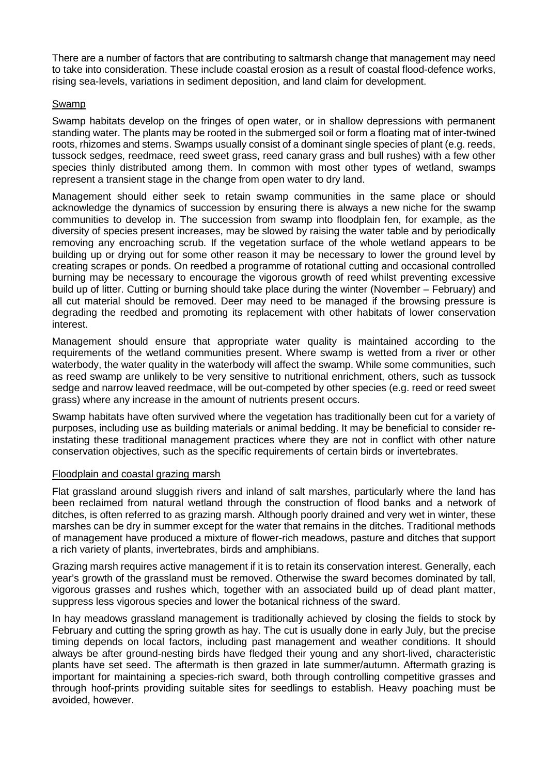There are a number of factors that are contributing to saltmarsh change that management may need to take into consideration. These include coastal erosion as a result of coastal flood-defence works, rising sea-levels, variations in sediment deposition, and land claim for development.

## Swamp

Swamp habitats develop on the fringes of open water, or in shallow depressions with permanent standing water. The plants may be rooted in the submerged soil or form a floating mat of inter-twined roots, rhizomes and stems. Swamps usually consist of a dominant single species of plant (e.g. reeds, tussock sedges, reedmace, reed sweet grass, reed canary grass and bull rushes) with a few other species thinly distributed among them. In common with most other types of wetland, swamps represent a transient stage in the change from open water to dry land.

Management should either seek to retain swamp communities in the same place or should acknowledge the dynamics of succession by ensuring there is always a new niche for the swamp communities to develop in. The succession from swamp into floodplain fen, for example, as the diversity of species present increases, may be slowed by raising the water table and by periodically removing any encroaching scrub. If the vegetation surface of the whole wetland appears to be building up or drying out for some other reason it may be necessary to lower the ground level by creating scrapes or ponds. On reedbed a programme of rotational cutting and occasional controlled burning may be necessary to encourage the vigorous growth of reed whilst preventing excessive build up of litter. Cutting or burning should take place during the winter (November – February) and all cut material should be removed. Deer may need to be managed if the browsing pressure is degrading the reedbed and promoting its replacement with other habitats of lower conservation interest.

Management should ensure that appropriate water quality is maintained according to the requirements of the wetland communities present. Where swamp is wetted from a river or other waterbody, the water quality in the waterbody will affect the swamp. While some communities, such as reed swamp are unlikely to be very sensitive to nutritional enrichment, others, such as tussock sedge and narrow leaved reedmace, will be out-competed by other species (e.g. reed or reed sweet grass) where any increase in the amount of nutrients present occurs.

Swamp habitats have often survived where the vegetation has traditionally been cut for a variety of purposes, including use as building materials or animal bedding. It may be beneficial to consider reinstating these traditional management practices where they are not in conflict with other nature conservation objectives, such as the specific requirements of certain birds or invertebrates.

## Floodplain and coastal grazing marsh

Flat grassland around sluggish rivers and inland of salt marshes, particularly where the land has been reclaimed from natural wetland through the construction of flood banks and a network of ditches, is often referred to as grazing marsh. Although poorly drained and very wet in winter, these marshes can be dry in summer except for the water that remains in the ditches. Traditional methods of management have produced a mixture of flower-rich meadows, pasture and ditches that support a rich variety of plants, invertebrates, birds and amphibians.

Grazing marsh requires active management if it is to retain its conservation interest. Generally, each year's growth of the grassland must be removed. Otherwise the sward becomes dominated by tall, vigorous grasses and rushes which, together with an associated build up of dead plant matter, suppress less vigorous species and lower the botanical richness of the sward.

In hay meadows grassland management is traditionally achieved by closing the fields to stock by February and cutting the spring growth as hay. The cut is usually done in early July, but the precise timing depends on local factors, including past management and weather conditions. It should always be after ground-nesting birds have fledged their young and any short-lived, characteristic plants have set seed. The aftermath is then grazed in late summer/autumn. Aftermath grazing is important for maintaining a species-rich sward, both through controlling competitive grasses and through hoof-prints providing suitable sites for seedlings to establish. Heavy poaching must be avoided, however.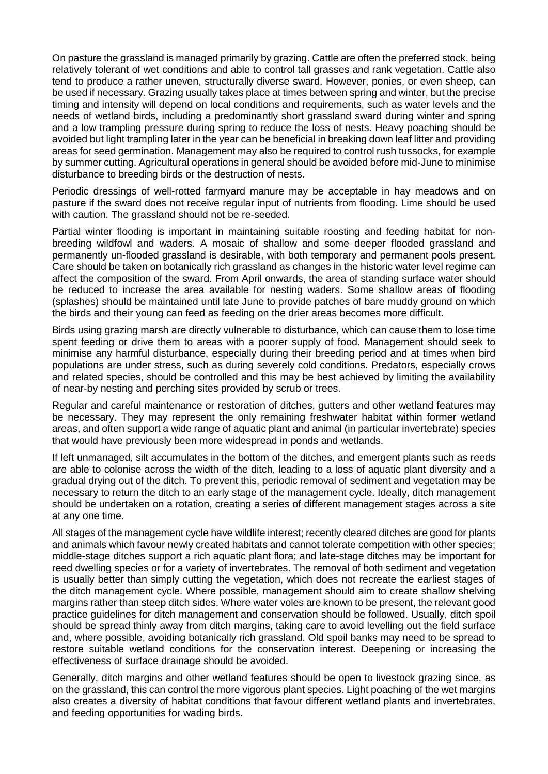On pasture the grassland is managed primarily by grazing. Cattle are often the preferred stock, being relatively tolerant of wet conditions and able to control tall grasses and rank vegetation. Cattle also tend to produce a rather uneven, structurally diverse sward. However, ponies, or even sheep, can be used if necessary. Grazing usually takes place at times between spring and winter, but the precise timing and intensity will depend on local conditions and requirements, such as water levels and the needs of wetland birds, including a predominantly short grassland sward during winter and spring and a low trampling pressure during spring to reduce the loss of nests. Heavy poaching should be avoided but light trampling later in the year can be beneficial in breaking down leaf litter and providing areas for seed germination. Management may also be required to control rush tussocks, for example by summer cutting. Agricultural operations in general should be avoided before mid-June to minimise disturbance to breeding birds or the destruction of nests.

Periodic dressings of well-rotted farmyard manure may be acceptable in hay meadows and on pasture if the sward does not receive regular input of nutrients from flooding. Lime should be used with caution. The grassland should not be re-seeded.

Partial winter flooding is important in maintaining suitable roosting and feeding habitat for nonbreeding wildfowl and waders. A mosaic of shallow and some deeper flooded grassland and permanently un-flooded grassland is desirable, with both temporary and permanent pools present. Care should be taken on botanically rich grassland as changes in the historic water level regime can affect the composition of the sward. From April onwards, the area of standing surface water should be reduced to increase the area available for nesting waders. Some shallow areas of flooding (splashes) should be maintained until late June to provide patches of bare muddy ground on which the birds and their young can feed as feeding on the drier areas becomes more difficult.

Birds using grazing marsh are directly vulnerable to disturbance, which can cause them to lose time spent feeding or drive them to areas with a poorer supply of food. Management should seek to minimise any harmful disturbance, especially during their breeding period and at times when bird populations are under stress, such as during severely cold conditions. Predators, especially crows and related species, should be controlled and this may be best achieved by limiting the availability of near-by nesting and perching sites provided by scrub or trees.

Regular and careful maintenance or restoration of ditches, gutters and other wetland features may be necessary. They may represent the only remaining freshwater habitat within former wetland areas, and often support a wide range of aquatic plant and animal (in particular invertebrate) species that would have previously been more widespread in ponds and wetlands.

If left unmanaged, silt accumulates in the bottom of the ditches, and emergent plants such as reeds are able to colonise across the width of the ditch, leading to a loss of aquatic plant diversity and a gradual drying out of the ditch. To prevent this, periodic removal of sediment and vegetation may be necessary to return the ditch to an early stage of the management cycle. Ideally, ditch management should be undertaken on a rotation, creating a series of different management stages across a site at any one time.

All stages of the management cycle have wildlife interest; recently cleared ditches are good for plants and animals which favour newly created habitats and cannot tolerate competition with other species; middle-stage ditches support a rich aquatic plant flora; and late-stage ditches may be important for reed dwelling species or for a variety of invertebrates. The removal of both sediment and vegetation is usually better than simply cutting the vegetation, which does not recreate the earliest stages of the ditch management cycle. Where possible, management should aim to create shallow shelving margins rather than steep ditch sides. Where water voles are known to be present, the relevant good practice guidelines for ditch management and conservation should be followed. Usually, ditch spoil should be spread thinly away from ditch margins, taking care to avoid levelling out the field surface and, where possible, avoiding botanically rich grassland. Old spoil banks may need to be spread to restore suitable wetland conditions for the conservation interest. Deepening or increasing the effectiveness of surface drainage should be avoided.

Generally, ditch margins and other wetland features should be open to livestock grazing since, as on the grassland, this can control the more vigorous plant species. Light poaching of the wet margins also creates a diversity of habitat conditions that favour different wetland plants and invertebrates, and feeding opportunities for wading birds.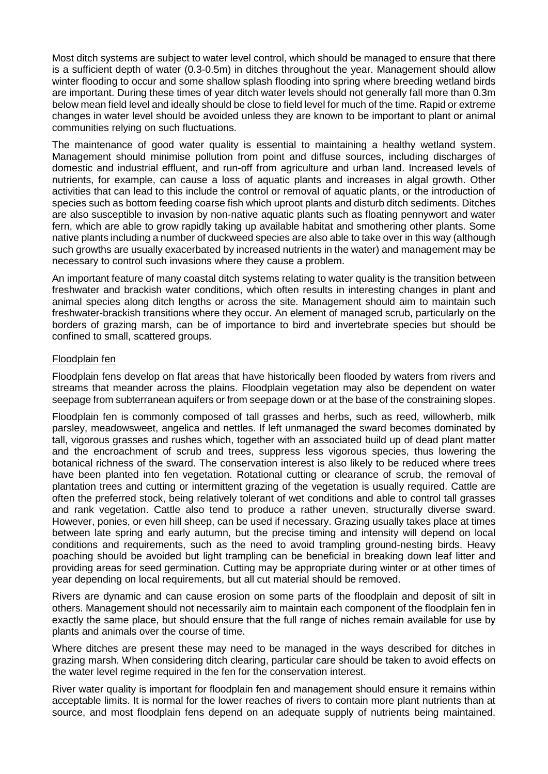Most ditch systems are subject to water level control, which should be managed to ensure that there is a sufficient depth of water (0.3-0.5m) in ditches throughout the year. Management should allow winter flooding to occur and some shallow splash flooding into spring where breeding wetland birds are important. During these times of year ditch water levels should not generally fall more than 0.3m below mean field level and ideally should be close to field level for much of the time. Rapid or extreme changes in water level should be avoided unless they are known to be important to plant or animal communities relying on such fluctuations.

The maintenance of good water quality is essential to maintaining a healthy wetland system. Management should minimise pollution from point and diffuse sources, including discharges of domestic and industrial effluent, and run-off from agriculture and urban land. Increased levels of nutrients, for example, can cause a loss of aquatic plants and increases in algal growth. Other activities that can lead to this include the control or removal of aquatic plants, or the introduction of species such as bottom feeding coarse fish which uproot plants and disturb ditch sediments. Ditches are also susceptible to invasion by non-native aquatic plants such as floating pennywort and water fern, which are able to grow rapidly taking up available habitat and smothering other plants. Some native plants including a number of duckweed species are also able to take over in this way (although such growths are usually exacerbated by increased nutrients in the water) and management may be necessary to control such invasions where they cause a problem.

An important feature of many coastal ditch systems relating to water quality is the transition between freshwater and brackish water conditions, which often results in interesting changes in plant and animal species along ditch lengths or across the site. Management should aim to maintain such freshwater-brackish transitions where they occur. An element of managed scrub, particularly on the borders of grazing marsh, can be of importance to bird and invertebrate species but should be confined to small, scattered groups.

## Floodplain fen

Floodplain fens develop on flat areas that have historically been flooded by waters from rivers and streams that meander across the plains. Floodplain vegetation may also be dependent on water seepage from subterranean aquifers or from seepage down or at the base of the constraining slopes.

Floodplain fen is commonly composed of tall grasses and herbs, such as reed, willowherb, milk parsley, meadowsweet, angelica and nettles. If left unmanaged the sward becomes dominated by tall, vigorous grasses and rushes which, together with an associated build up of dead plant matter and the encroachment of scrub and trees, suppress less vigorous species, thus lowering the botanical richness of the sward. The conservation interest is also likely to be reduced where trees have been planted into fen vegetation. Rotational cutting or clearance of scrub, the removal of plantation trees and cutting or intermittent grazing of the vegetation is usually required. Cattle are often the preferred stock, being relatively tolerant of wet conditions and able to control tall grasses and rank vegetation. Cattle also tend to produce a rather uneven, structurally diverse sward. However, ponies, or even hill sheep, can be used if necessary. Grazing usually takes place at times between late spring and early autumn, but the precise timing and intensity will depend on local conditions and requirements, such as the need to avoid trampling ground-nesting birds. Heavy poaching should be avoided but light trampling can be beneficial in breaking down leaf litter and providing areas for seed germination. Cutting may be appropriate during winter or at other times of year depending on local requirements, but all cut material should be removed.

Rivers are dynamic and can cause erosion on some parts of the floodplain and deposit of silt in others. Management should not necessarily aim to maintain each component of the floodplain fen in exactly the same place, but should ensure that the full range of niches remain available for use by plants and animals over the course of time.

Where ditches are present these may need to be managed in the ways described for ditches in grazing marsh. When considering ditch clearing, particular care should be taken to avoid effects on the water level regime required in the fen for the conservation interest.

River water quality is important for floodplain fen and management should ensure it remains within acceptable limits. It is normal for the lower reaches of rivers to contain more plant nutrients than at source, and most floodplain fens depend on an adequate supply of nutrients being maintained.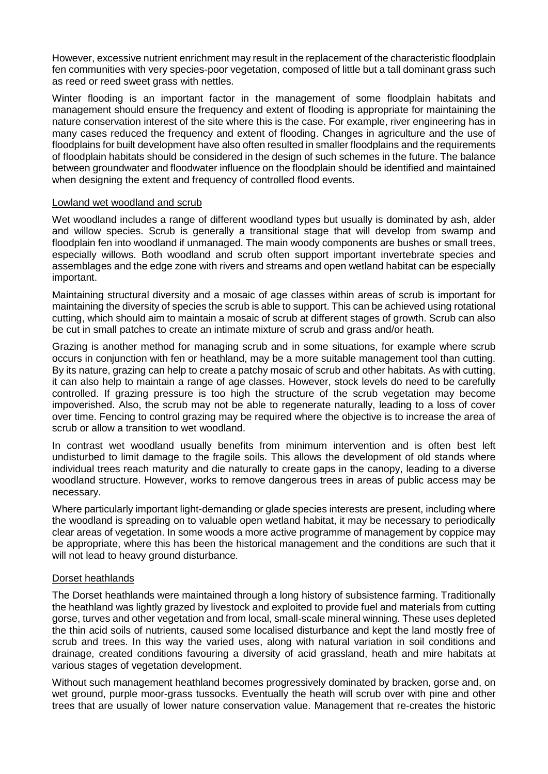However, excessive nutrient enrichment may result in the replacement of the characteristic floodplain fen communities with very species-poor vegetation, composed of little but a tall dominant grass such as reed or reed sweet grass with nettles.

Winter flooding is an important factor in the management of some floodplain habitats and management should ensure the frequency and extent of flooding is appropriate for maintaining the nature conservation interest of the site where this is the case. For example, river engineering has in many cases reduced the frequency and extent of flooding. Changes in agriculture and the use of floodplains for built development have also often resulted in smaller floodplains and the requirements of floodplain habitats should be considered in the design of such schemes in the future. The balance between groundwater and floodwater influence on the floodplain should be identified and maintained when designing the extent and frequency of controlled flood events.

#### Lowland wet woodland and scrub

Wet woodland includes a range of different woodland types but usually is dominated by ash, alder and willow species. Scrub is generally a transitional stage that will develop from swamp and floodplain fen into woodland if unmanaged. The main woody components are bushes or small trees, especially willows. Both woodland and scrub often support important invertebrate species and assemblages and the edge zone with rivers and streams and open wetland habitat can be especially important.

Maintaining structural diversity and a mosaic of age classes within areas of scrub is important for maintaining the diversity of species the scrub is able to support. This can be achieved using rotational cutting, which should aim to maintain a mosaic of scrub at different stages of growth. Scrub can also be cut in small patches to create an intimate mixture of scrub and grass and/or heath.

Grazing is another method for managing scrub and in some situations, for example where scrub occurs in conjunction with fen or heathland, may be a more suitable management tool than cutting. By its nature, grazing can help to create a patchy mosaic of scrub and other habitats. As with cutting, it can also help to maintain a range of age classes. However, stock levels do need to be carefully controlled. If grazing pressure is too high the structure of the scrub vegetation may become impoverished. Also, the scrub may not be able to regenerate naturally, leading to a loss of cover over time. Fencing to control grazing may be required where the objective is to increase the area of scrub or allow a transition to wet woodland.

In contrast wet woodland usually benefits from minimum intervention and is often best left undisturbed to limit damage to the fragile soils. This allows the development of old stands where individual trees reach maturity and die naturally to create gaps in the canopy, leading to a diverse woodland structure. However, works to remove dangerous trees in areas of public access may be necessary.

Where particularly important light-demanding or glade species interests are present, including where the woodland is spreading on to valuable open wetland habitat, it may be necessary to periodically clear areas of vegetation. In some woods a more active programme of management by coppice may be appropriate, where this has been the historical management and the conditions are such that it will not lead to heavy ground disturbance*.* 

## Dorset heathlands

The Dorset heathlands were maintained through a long history of subsistence farming. Traditionally the heathland was lightly grazed by livestock and exploited to provide fuel and materials from cutting gorse, turves and other vegetation and from local, small-scale mineral winning. These uses depleted the thin acid soils of nutrients, caused some localised disturbance and kept the land mostly free of scrub and trees. In this way the varied uses, along with natural variation in soil conditions and drainage, created conditions favouring a diversity of acid grassland, heath and mire habitats at various stages of vegetation development.

Without such management heathland becomes progressively dominated by bracken, gorse and, on wet ground, purple moor-grass tussocks. Eventually the heath will scrub over with pine and other trees that are usually of lower nature conservation value. Management that re-creates the historic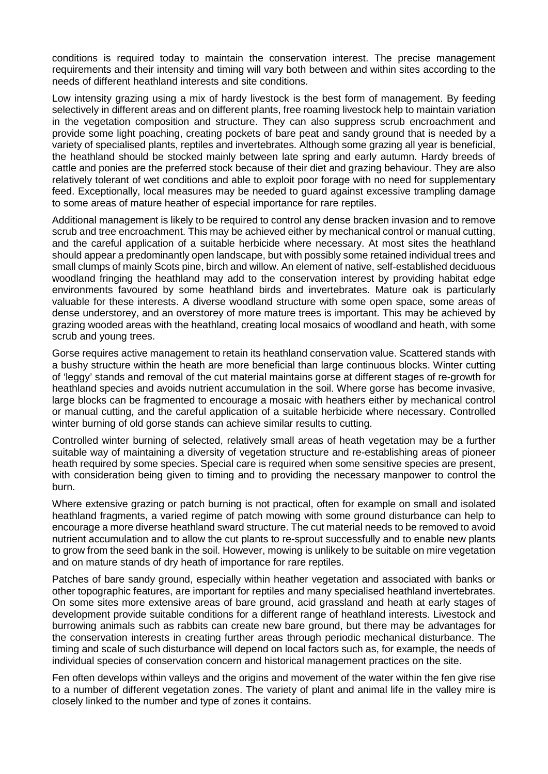conditions is required today to maintain the conservation interest. The precise management requirements and their intensity and timing will vary both between and within sites according to the needs of different heathland interests and site conditions.

Low intensity grazing using a mix of hardy livestock is the best form of management. By feeding selectively in different areas and on different plants, free roaming livestock help to maintain variation in the vegetation composition and structure. They can also suppress scrub encroachment and provide some light poaching, creating pockets of bare peat and sandy ground that is needed by a variety of specialised plants, reptiles and invertebrates. Although some grazing all year is beneficial, the heathland should be stocked mainly between late spring and early autumn. Hardy breeds of cattle and ponies are the preferred stock because of their diet and grazing behaviour. They are also relatively tolerant of wet conditions and able to exploit poor forage with no need for supplementary feed. Exceptionally, local measures may be needed to guard against excessive trampling damage to some areas of mature heather of especial importance for rare reptiles.

Additional management is likely to be required to control any dense bracken invasion and to remove scrub and tree encroachment. This may be achieved either by mechanical control or manual cutting, and the careful application of a suitable herbicide where necessary. At most sites the heathland should appear a predominantly open landscape, but with possibly some retained individual trees and small clumps of mainly Scots pine, birch and willow. An element of native, self-established deciduous woodland fringing the heathland may add to the conservation interest by providing habitat edge environments favoured by some heathland birds and invertebrates. Mature oak is particularly valuable for these interests. A diverse woodland structure with some open space, some areas of dense understorey, and an overstorey of more mature trees is important. This may be achieved by grazing wooded areas with the heathland, creating local mosaics of woodland and heath, with some scrub and young trees.

Gorse requires active management to retain its heathland conservation value. Scattered stands with a bushy structure within the heath are more beneficial than large continuous blocks. Winter cutting of 'leggy' stands and removal of the cut material maintains gorse at different stages of re-growth for heathland species and avoids nutrient accumulation in the soil. Where gorse has become invasive, large blocks can be fragmented to encourage a mosaic with heathers either by mechanical control or manual cutting, and the careful application of a suitable herbicide where necessary. Controlled winter burning of old gorse stands can achieve similar results to cutting.

Controlled winter burning of selected, relatively small areas of heath vegetation may be a further suitable way of maintaining a diversity of vegetation structure and re-establishing areas of pioneer heath required by some species. Special care is required when some sensitive species are present, with consideration being given to timing and to providing the necessary manpower to control the burn.

Where extensive grazing or patch burning is not practical, often for example on small and isolated heathland fragments, a varied regime of patch mowing with some ground disturbance can help to encourage a more diverse heathland sward structure. The cut material needs to be removed to avoid nutrient accumulation and to allow the cut plants to re-sprout successfully and to enable new plants to grow from the seed bank in the soil. However, mowing is unlikely to be suitable on mire vegetation and on mature stands of dry heath of importance for rare reptiles.

Patches of bare sandy ground, especially within heather vegetation and associated with banks or other topographic features, are important for reptiles and many specialised heathland invertebrates. On some sites more extensive areas of bare ground, acid grassland and heath at early stages of development provide suitable conditions for a different range of heathland interests. Livestock and burrowing animals such as rabbits can create new bare ground, but there may be advantages for the conservation interests in creating further areas through periodic mechanical disturbance. The timing and scale of such disturbance will depend on local factors such as, for example, the needs of individual species of conservation concern and historical management practices on the site.

Fen often develops within valleys and the origins and movement of the water within the fen give rise to a number of different vegetation zones. The variety of plant and animal life in the valley mire is closely linked to the number and type of zones it contains.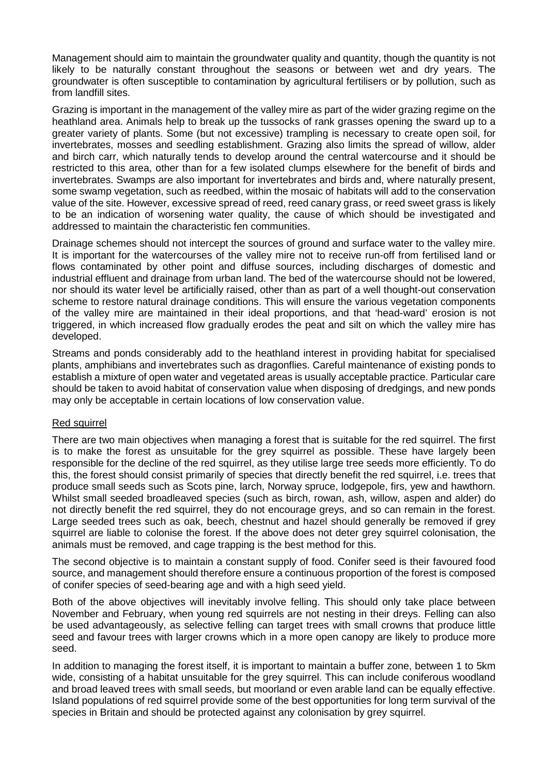Management should aim to maintain the groundwater quality and quantity, though the quantity is not likely to be naturally constant throughout the seasons or between wet and dry years. The groundwater is often susceptible to contamination by agricultural fertilisers or by pollution, such as from landfill sites.

Grazing is important in the management of the valley mire as part of the wider grazing regime on the heathland area. Animals help to break up the tussocks of rank grasses opening the sward up to a greater variety of plants. Some (but not excessive) trampling is necessary to create open soil, for invertebrates, mosses and seedling establishment. Grazing also limits the spread of willow, alder and birch carr, which naturally tends to develop around the central watercourse and it should be restricted to this area, other than for a few isolated clumps elsewhere for the benefit of birds and invertebrates. Swamps are also important for invertebrates and birds and, where naturally present, some swamp vegetation, such as reedbed, within the mosaic of habitats will add to the conservation value of the site. However, excessive spread of reed, reed canary grass, or reed sweet grass is likely to be an indication of worsening water quality, the cause of which should be investigated and addressed to maintain the characteristic fen communities.

Drainage schemes should not intercept the sources of ground and surface water to the valley mire. It is important for the watercourses of the valley mire not to receive run-off from fertilised land or flows contaminated by other point and diffuse sources, including discharges of domestic and industrial effluent and drainage from urban land. The bed of the watercourse should not be lowered, nor should its water level be artificially raised, other than as part of a well thought-out conservation scheme to restore natural drainage conditions. This will ensure the various vegetation components of the valley mire are maintained in their ideal proportions, and that 'head-ward' erosion is not triggered, in which increased flow gradually erodes the peat and silt on which the valley mire has developed.

Streams and ponds considerably add to the heathland interest in providing habitat for specialised plants, amphibians and invertebrates such as dragonflies. Careful maintenance of existing ponds to establish a mixture of open water and vegetated areas is usually acceptable practice. Particular care should be taken to avoid habitat of conservation value when disposing of dredgings, and new ponds may only be acceptable in certain locations of low conservation value.

## Red squirrel

There are two main objectives when managing a forest that is suitable for the red squirrel. The first is to make the forest as unsuitable for the grey squirrel as possible. These have largely been responsible for the decline of the red squirrel, as they utilise large tree seeds more efficiently. To do this, the forest should consist primarily of species that directly benefit the red squirrel, i.e. trees that produce small seeds such as Scots pine, larch, Norway spruce, lodgepole, firs, yew and hawthorn. Whilst small seeded broadleaved species (such as birch, rowan, ash, willow, aspen and alder) do not directly benefit the red squirrel, they do not encourage greys, and so can remain in the forest. Large seeded trees such as oak, beech, chestnut and hazel should generally be removed if grey squirrel are liable to colonise the forest. If the above does not deter grey squirrel colonisation, the animals must be removed, and cage trapping is the best method for this.

The second objective is to maintain a constant supply of food. Conifer seed is their favoured food source, and management should therefore ensure a continuous proportion of the forest is composed of conifer species of seed-bearing age and with a high seed yield.

Both of the above objectives will inevitably involve felling. This should only take place between November and February, when young red squirrels are not nesting in their dreys. Felling can also be used advantageously, as selective felling can target trees with small crowns that produce little seed and favour trees with larger crowns which in a more open canopy are likely to produce more seed.

In addition to managing the forest itself, it is important to maintain a buffer zone, between 1 to 5km wide, consisting of a habitat unsuitable for the grey squirrel. This can include coniferous woodland and broad leaved trees with small seeds, but moorland or even arable land can be equally effective. Island populations of red squirrel provide some of the best opportunities for long term survival of the species in Britain and should be protected against any colonisation by grey squirrel.